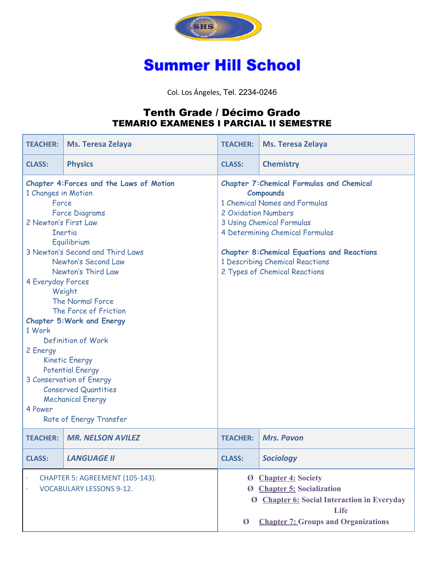

## **Summer Hill School**

Col. Los Ángeles, Tel. 2234-0246

## Tenth Grade / Décimo Grado TEMARIO EXAMENES I PARCIAL II SEMESTRE

| <b>TEACHER:</b>                                                                                                                                                                                                                                                                                                                                                                                                                                                                                                                                                                                  | Ms. Teresa Zelaya        | <b>TEACHER:</b>                                                                                                                                                                                                                                                                                                        | <b>Ms. Teresa Zelaya</b> |
|--------------------------------------------------------------------------------------------------------------------------------------------------------------------------------------------------------------------------------------------------------------------------------------------------------------------------------------------------------------------------------------------------------------------------------------------------------------------------------------------------------------------------------------------------------------------------------------------------|--------------------------|------------------------------------------------------------------------------------------------------------------------------------------------------------------------------------------------------------------------------------------------------------------------------------------------------------------------|--------------------------|
| <b>CLASS:</b>                                                                                                                                                                                                                                                                                                                                                                                                                                                                                                                                                                                    | <b>Physics</b>           | <b>CLASS:</b>                                                                                                                                                                                                                                                                                                          | <b>Chemistry</b>         |
| Chapter 4: Forces and the Laws of Motion<br>1 Changes in Motion<br>Force<br><b>Force Diagrams</b><br>2 Newton's First Law<br><b>Inertia</b><br>Equilibrium<br>3 Newton's Second and Third Laws<br>Newton's Second Law<br>Newton's Third Law<br>4 Everyday Forces<br>Weight<br><b>The Normal Force</b><br>The Force of Friction<br><b>Chapter 5: Work and Energy</b><br>1 Work<br>Definition of Work<br>2 Energy<br><b>Kinetic Energy</b><br><b>Potential Energy</b><br>3 Conservation of Energy<br><b>Conserved Quantities</b><br><b>Mechanical Energy</b><br>4 Power<br>Rate of Energy Transfer |                          | <b>Chapter 7: Chemical Formulas and Chemical</b><br><b>Compounds</b><br>1 Chemical Names and Formulas<br>2 Oxidation Numbers<br>3 Using Chemical Formulas<br>4 Determining Chemical Formulas<br><b>Chapter 8: Chemical Equations and Reactions</b><br>1 Describing Chemical Reactions<br>2 Types of Chemical Reactions |                          |
| <b>TEACHER:</b>                                                                                                                                                                                                                                                                                                                                                                                                                                                                                                                                                                                  | <b>MR. NELSON AVILEZ</b> | <b>TEACHER:</b>                                                                                                                                                                                                                                                                                                        | <b>Mrs. Pavon</b>        |
| <b>CLASS:</b>                                                                                                                                                                                                                                                                                                                                                                                                                                                                                                                                                                                    | <b>LANGUAGE II</b>       | <b>CLASS:</b>                                                                                                                                                                                                                                                                                                          | <b>Sociology</b>         |
| CHAPTER 5: AGREEMENT (105-143).<br><b>VOCABULARY LESSONS 9-12.</b>                                                                                                                                                                                                                                                                                                                                                                                                                                                                                                                               |                          | <b>Ø</b> Chapter 4: Society<br>Ø Chapter 5: Socialization<br>Ø Chapter 6: Social Interaction in Everyday<br>Life<br><b>Chapter 7: Groups and Organizations</b><br>Ø                                                                                                                                                    |                          |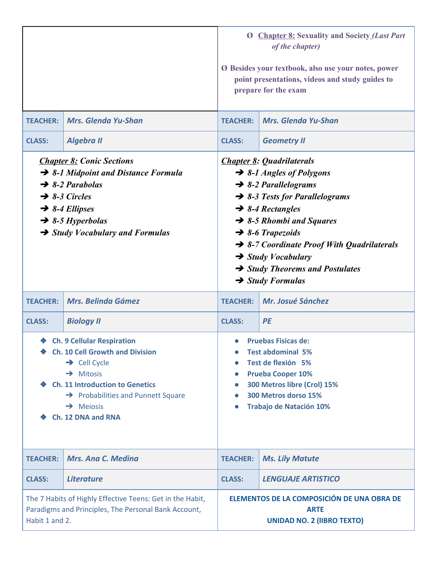|                                                                                                                                                                                                                                                                                  |                            | <b>Ø</b> Chapter 8: Sexuality and Society (Last Part<br>of the chapter)<br>Ø Besides your textbook, also use your notes, power<br>point presentations, videos and study guides to<br>prepare for the exam                                                                                                                                                                                                                                     |                            |
|----------------------------------------------------------------------------------------------------------------------------------------------------------------------------------------------------------------------------------------------------------------------------------|----------------------------|-----------------------------------------------------------------------------------------------------------------------------------------------------------------------------------------------------------------------------------------------------------------------------------------------------------------------------------------------------------------------------------------------------------------------------------------------|----------------------------|
| <b>TEACHER:</b>                                                                                                                                                                                                                                                                  | <b>Mrs. Glenda Yu-Shan</b> | <b>TEACHER:</b>                                                                                                                                                                                                                                                                                                                                                                                                                               | <b>Mrs. Glenda Yu-Shan</b> |
| <b>CLASS:</b>                                                                                                                                                                                                                                                                    | <b>Algebra II</b>          | <b>CLASS:</b>                                                                                                                                                                                                                                                                                                                                                                                                                                 | <b>Geometry II</b>         |
| <b>Chapter 8: Conic Sections</b><br>$\rightarrow$ 8-1 Midpoint and Distance Formula<br>$\rightarrow$ 8-2 Parabolas<br>$\rightarrow$ 8-3 Circles<br>$\rightarrow$ 8-4 Ellipses<br>$\rightarrow$ 8-5 Hyperbolas<br>$\rightarrow$ Study Vocabulary and Formulas                     |                            | <b>Chapter 8: Quadrilaterals</b><br>$\rightarrow$ 8-1 Angles of Polygons<br>$\rightarrow$ 8-2 Parallelograms<br>$\rightarrow$ 8-3 Tests for Parallelograms<br>$\rightarrow$ 8-4 Rectangles<br>$\rightarrow$ 8-5 Rhombi and Squares<br>$\rightarrow$ 8-6 Trapezoids<br>$\rightarrow$ 8-7 Coordinate Proof With Quadrilaterals<br>$\rightarrow$ Study Vocabulary<br>$\rightarrow$ Study Theorems and Postulates<br>$\rightarrow$ Study Formulas |                            |
| <b>TEACHER:</b>                                                                                                                                                                                                                                                                  | <b>Mrs. Belinda Gámez</b>  | <b>TEACHER:</b>                                                                                                                                                                                                                                                                                                                                                                                                                               | Mr. Josué Sánchez          |
| <b>CLASS:</b>                                                                                                                                                                                                                                                                    | <b>Biology II</b>          | <b>CLASS:</b>                                                                                                                                                                                                                                                                                                                                                                                                                                 | PE                         |
| <b>Ch. 9 Cellular Respiration</b><br><b>Ch. 10 Cell Growth and Division</b><br>❤<br>$\rightarrow$ Cell Cycle<br>$\rightarrow$ Mitosis<br><b>Ch. 11 Introduction to Genetics</b><br>$\rightarrow$ Probabilities and Punnett Square<br>$\rightarrow$ Meiosis<br>Ch. 12 DNA and RNA |                            | <b>Pruebas Fisicas de:</b><br>Test abdominal 5%<br>Test de flexión 5%<br>$\bullet$<br><b>Prueba Cooper 10%</b><br>300 Metros libre (Crol) 15%<br>$\bullet$<br>300 Metros dorso 15%<br><b>Trabajo de Natación 10%</b>                                                                                                                                                                                                                          |                            |
| <b>TEACHER:</b>                                                                                                                                                                                                                                                                  | <b>Mrs. Ana C. Medina</b>  | <b>TEACHER:</b>                                                                                                                                                                                                                                                                                                                                                                                                                               | <b>Ms. Lily Matute</b>     |
| <b>CLASS:</b>                                                                                                                                                                                                                                                                    | <b>Literature</b>          | <b>CLASS:</b>                                                                                                                                                                                                                                                                                                                                                                                                                                 | <b>LENGUAJE ARTISTICO</b>  |
| The 7 Habits of Highly Effective Teens: Get in the Habit,<br>Paradigms and Principles, The Personal Bank Account,<br>Habit 1 and 2.                                                                                                                                              |                            | ELEMENTOS DE LA COMPOSICIÓN DE UNA OBRA DE<br><b>ARTE</b><br><b>UNIDAD NO. 2 (IIBRO TEXTO)</b>                                                                                                                                                                                                                                                                                                                                                |                            |